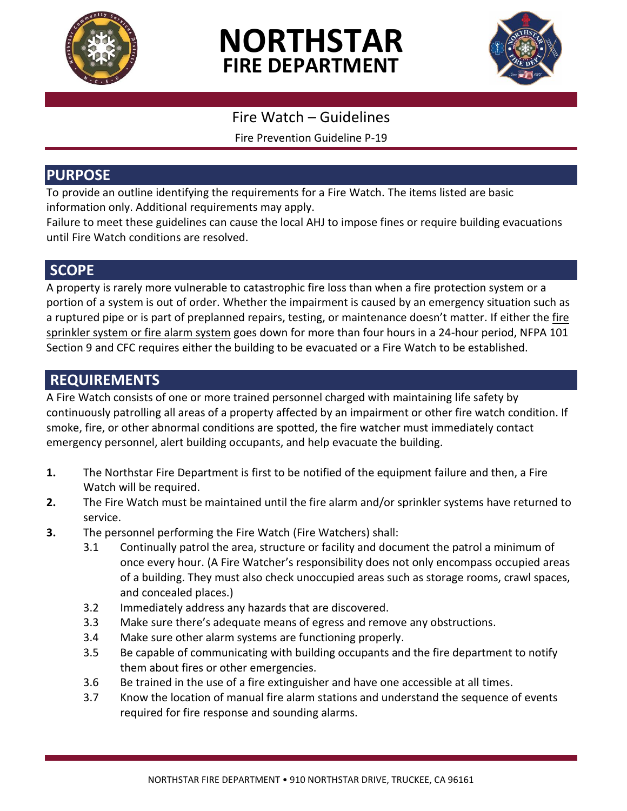

# **NORTHSTAR FIRE DEPARTMENT**



### Fire Watch – Guidelines

Fire Prevention Guideline P-19

#### **PURPOSE**

To provide an outline identifying the requirements for a Fire Watch. The items listed are basic information only. Additional requirements may apply.

Failure to meet these guidelines can cause the local AHJ to impose fines or require building evacuations until Fire Watch conditions are resolved.

#### **SCOPE**

A property is rarely more vulnerable to catastrophic fire loss than when a fire protection system or a portion of a system is out of order. Whether the impairment is caused by an emergency situation such as a ruptured pipe or is part of preplanned repairs, testing, or maintenance doesn't matter*.* If either the fire sprinkler system or fire alarm system goes down for more than four hours in a 24-hour period, NFPA 101 Section 9 and CFC requires either the building to be evacuated or a Fire Watch to be established.

## **REQUIREMENTS**

A Fire Watch consists of one or more trained personnel charged with maintaining life safety by continuously patrolling all areas of a property affected by an impairment or other fire watch condition. If smoke, fire, or other abnormal conditions are spotted, the fire watcher must immediately contact emergency personnel, alert building occupants, and help evacuate the building.

- **1.** The Northstar Fire Department is first to be notified of the equipment failure and then, a Fire Watch will be required.
- **2.** The Fire Watch must be maintained until the fire alarm and/or sprinkler systems have returned to service.
- **3.** The personnel performing the Fire Watch (Fire Watchers) shall:
	- 3.1 Continually patrol the area, structure or facility and document the patrol a minimum of once every hour. (A Fire Watcher's responsibility does not only encompass occupied areas of a building. They must also check unoccupied areas such as storage rooms, crawl spaces, and concealed places.)
	- 3.2 Immediately address any hazards that are discovered.
	- 3.3 Make sure there's adequate means of egress and remove any obstructions.
	- 3.4 Make sure other alarm systems are functioning properly.
	- 3.5 Be capable of communicating with building occupants and the fire department to notify them about fires or other emergencies.
	- 3.6 Be trained in the use of a fire extinguisher and have one accessible at all times.
	- 3.7 Know the location of manual fire alarm stations and understand the sequence of events required for fire response and sounding alarms.